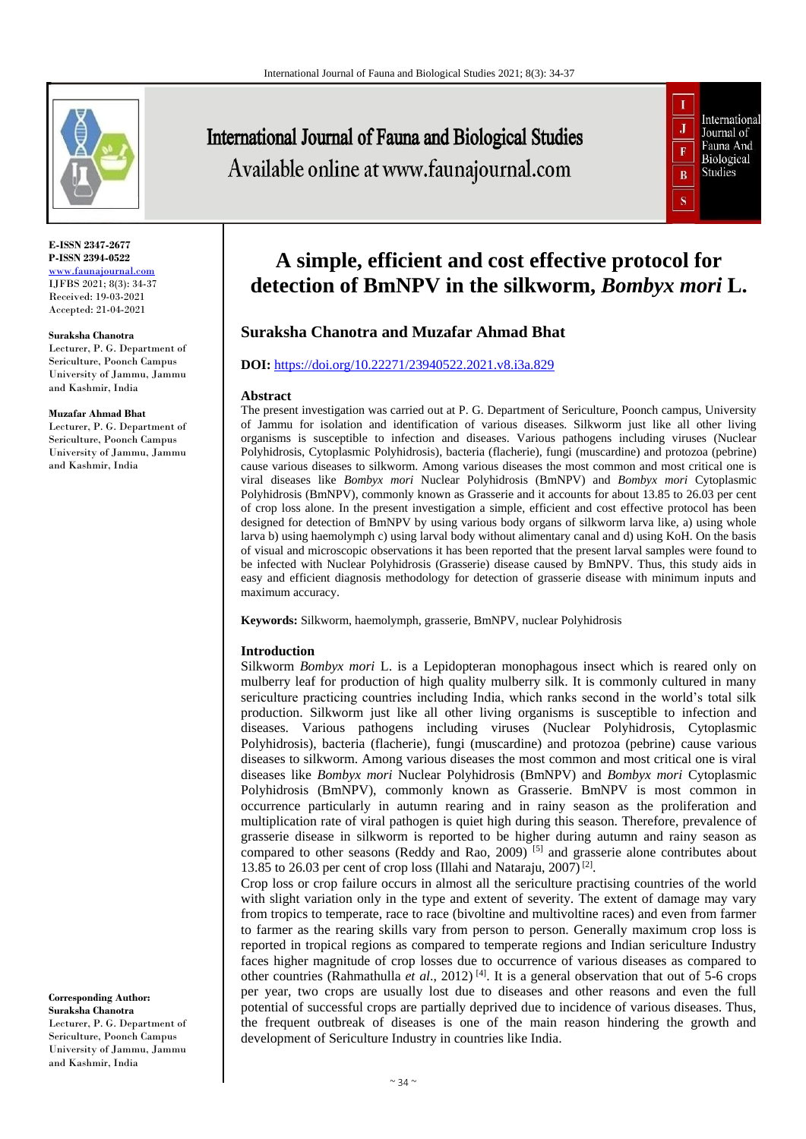

**E-ISSN 2347-2677 P-ISSN 2394-0522** [www.faunajournal.com](http://www.faunajournal.com/) IJFBS 2021; 8(3): 34-37 Received: 19-03-2021 Accepted: 21-04-2021

#### **Suraksha Chanotra**

Lecturer, P. G. Department of Sericulture, Poonch Campus University of Jammu, Jammu and Kashmir, India

#### **Muzafar Ahmad Bhat**

Lecturer, P. G. Department of Sericulture, Poonch Campus University of Jammu, Jammu and Kashmir, India

**Corresponding Author: Suraksha Chanotra** Lecturer, P. G. Department of Sericulture, Poonch Campus University of Jammu, Jammu and Kashmir, India

# **International Journal of Fauna and Biological Studies** Available online at www.faunajournal.com



# **A simple, efficient and cost effective protocol for detection of BmNPV in the silkworm,** *Bombyx mori* **L.**

# **Suraksha Chanotra and Muzafar Ahmad Bhat**

#### **DOI:** <https://doi.org/10.22271/23940522.2021.v8.i3a.829>

#### **Abstract**

The present investigation was carried out at P. G. Department of Sericulture, Poonch campus, University of Jammu for isolation and identification of various diseases. Silkworm just like all other living organisms is susceptible to infection and diseases. Various pathogens including viruses (Nuclear Polyhidrosis, Cytoplasmic Polyhidrosis), bacteria (flacherie), fungi (muscardine) and protozoa (pebrine) cause various diseases to silkworm. Among various diseases the most common and most critical one is viral diseases like *Bombyx mori* Nuclear Polyhidrosis (BmNPV) and *Bombyx mori* Cytoplasmic Polyhidrosis (BmNPV), commonly known as Grasserie and it accounts for about 13.85 to 26.03 per cent of crop loss alone. In the present investigation a simple, efficient and cost effective protocol has been designed for detection of BmNPV by using various body organs of silkworm larva like, a) using whole larva b) using haemolymph c) using larval body without alimentary canal and d) using KoH. On the basis of visual and microscopic observations it has been reported that the present larval samples were found to be infected with Nuclear Polyhidrosis (Grasserie) disease caused by BmNPV. Thus, this study aids in easy and efficient diagnosis methodology for detection of grasserie disease with minimum inputs and maximum accuracy.

**Keywords:** Silkworm, haemolymph, grasserie, BmNPV, nuclear Polyhidrosis

#### **Introduction**

Silkworm *Bombyx mori* L. is a Lepidopteran monophagous insect which is reared only on mulberry leaf for production of high quality mulberry silk. It is commonly cultured in many sericulture practicing countries including India, which ranks second in the world's total silk production. Silkworm just like all other living organisms is susceptible to infection and diseases. Various pathogens including viruses (Nuclear Polyhidrosis, Cytoplasmic Polyhidrosis), bacteria (flacherie), fungi (muscardine) and protozoa (pebrine) cause various diseases to silkworm. Among various diseases the most common and most critical one is viral diseases like *Bombyx mori* Nuclear Polyhidrosis (BmNPV) and *Bombyx mori* Cytoplasmic Polyhidrosis (BmNPV), commonly known as Grasserie. BmNPV is most common in occurrence particularly in autumn rearing and in rainy season as the proliferation and multiplication rate of viral pathogen is quiet high during this season. Therefore, prevalence of grasserie disease in silkworm is reported to be higher during autumn and rainy season as compared to other seasons (Reddy and Rao, 2009)  $^{[5]}$  and grasserie alone contributes about 13.85 to 26.03 per cent of crop loss (Illahi and Nataraju, 2007)<sup>[2]</sup>.

Crop loss or crop failure occurs in almost all the sericulture practising countries of the world with slight variation only in the type and extent of severity. The extent of damage may vary from tropics to temperate, race to race (bivoltine and multivoltine races) and even from farmer to farmer as the rearing skills vary from person to person. Generally maximum crop loss is reported in tropical regions as compared to temperate regions and Indian sericulture Industry faces higher magnitude of crop losses due to occurrence of various diseases as compared to other countries (Rahmathulla *et al*., 2012) [4]. It is a general observation that out of 5-6 crops per year, two crops are usually lost due to diseases and other reasons and even the full potential of successful crops are partially deprived due to incidence of various diseases. Thus, the frequent outbreak of diseases is one of the main reason hindering the growth and development of Sericulture Industry in countries like India.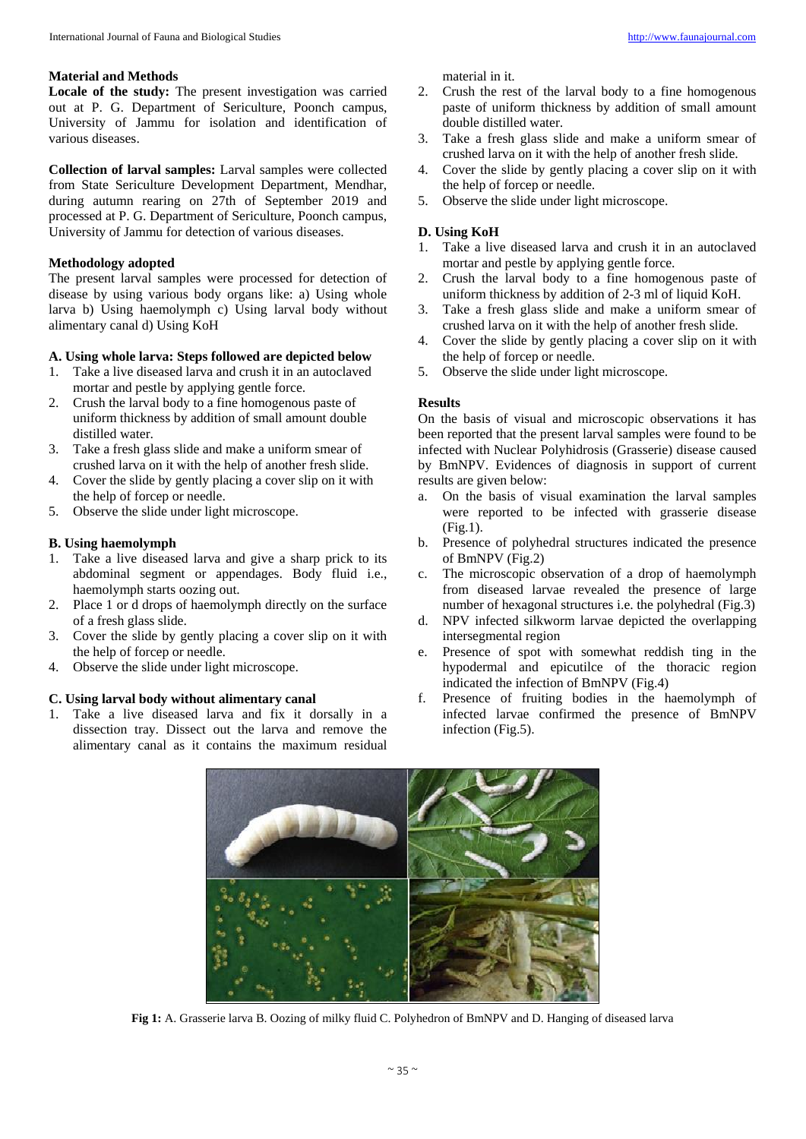# **Material and Methods**

**Locale of the study:** The present investigation was carried out at P. G. Department of Sericulture, Poonch campus, University of Jammu for isolation and identification of various diseases.

**Collection of larval samples:** Larval samples were collected from State Sericulture Development Department, Mendhar, during autumn rearing on 27th of September 2019 and processed at P. G. Department of Sericulture, Poonch campus, University of Jammu for detection of various diseases.

# **Methodology adopted**

The present larval samples were processed for detection of disease by using various body organs like: a) Using whole larva b) Using haemolymph c) Using larval body without alimentary canal d) Using KoH

### **A. Using whole larva: Steps followed are depicted below**

- 1. Take a live diseased larva and crush it in an autoclaved mortar and pestle by applying gentle force.
- 2. Crush the larval body to a fine homogenous paste of uniform thickness by addition of small amount double distilled water.
- 3. Take a fresh glass slide and make a uniform smear of crushed larva on it with the help of another fresh slide.
- 4. Cover the slide by gently placing a cover slip on it with the help of forcep or needle.
- 5. Observe the slide under light microscope.

### **B. Using haemolymph**

- 1. Take a live diseased larva and give a sharp prick to its abdominal segment or appendages. Body fluid i.e., haemolymph starts oozing out.
- 2. Place 1 or d drops of haemolymph directly on the surface of a fresh glass slide.
- 3. Cover the slide by gently placing a cover slip on it with the help of forcep or needle.
- 4. Observe the slide under light microscope.

# **C. Using larval body without alimentary canal**

1. Take a live diseased larva and fix it dorsally in a dissection tray. Dissect out the larva and remove the alimentary canal as it contains the maximum residual material in it.

- 2. Crush the rest of the larval body to a fine homogenous paste of uniform thickness by addition of small amount double distilled water.
- 3. Take a fresh glass slide and make a uniform smear of crushed larva on it with the help of another fresh slide.
- 4. Cover the slide by gently placing a cover slip on it with the help of forcep or needle.
- 5. Observe the slide under light microscope.

## **D. Using KoH**

- 1. Take a live diseased larva and crush it in an autoclaved mortar and pestle by applying gentle force.
- 2. Crush the larval body to a fine homogenous paste of uniform thickness by addition of 2-3 ml of liquid KoH.
- 3. Take a fresh glass slide and make a uniform smear of crushed larva on it with the help of another fresh slide.
- 4. Cover the slide by gently placing a cover slip on it with the help of forcep or needle.
- 5. Observe the slide under light microscope.

### **Results**

On the basis of visual and microscopic observations it has been reported that the present larval samples were found to be infected with Nuclear Polyhidrosis (Grasserie) disease caused by BmNPV. Evidences of diagnosis in support of current results are given below:

- On the basis of visual examination the larval samples were reported to be infected with grasserie disease (Fig.1).
- b. Presence of polyhedral structures indicated the presence of BmNPV (Fig.2)
- c. The microscopic observation of a drop of haemolymph from diseased larvae revealed the presence of large number of hexagonal structures i.e. the polyhedral (Fig.3)
- d. NPV infected silkworm larvae depicted the overlapping intersegmental region
- e. Presence of spot with somewhat reddish ting in the hypodermal and epicutilce of the thoracic region indicated the infection of BmNPV (Fig.4)
- f. Presence of fruiting bodies in the haemolymph of infected larvae confirmed the presence of BmNPV infection (Fig.5).



**Fig 1:** A. Grasserie larva B. Oozing of milky fluid C. Polyhedron of BmNPV and D. Hanging of diseased larva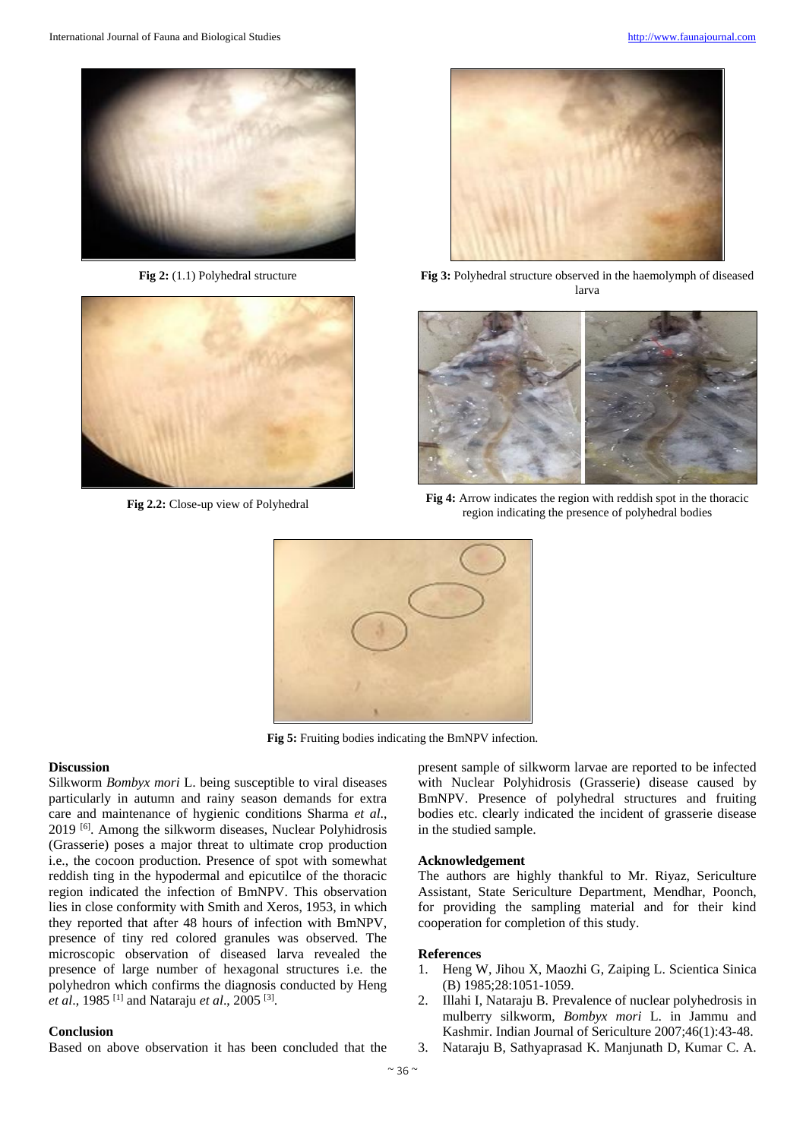

**Fig 2:** (1.1) Polyhedral structure



**Fig 2.2:** Close-up view of Polyhedral



**Fig 3:** Polyhedral structure observed in the haemolymph of diseased larva



**Fig 4:** Arrow indicates the region with reddish spot in the thoracic region indicating the presence of polyhedral bodies



**Fig 5:** Fruiting bodies indicating the BmNPV infection.

### **Discussion**

Silkworm *Bombyx mori* L. being susceptible to viral diseases particularly in autumn and rainy season demands for extra care and maintenance of hygienic conditions Sharma *et al*., 2019 [6]. Among the silkworm diseases, Nuclear Polyhidrosis (Grasserie) poses a major threat to ultimate crop production i.e., the cocoon production. Presence of spot with somewhat reddish ting in the hypodermal and epicutilce of the thoracic region indicated the infection of BmNPV. This observation lies in close conformity with Smith and Xeros, 1953, in which they reported that after 48 hours of infection with BmNPV, presence of tiny red colored granules was observed. The microscopic observation of diseased larva revealed the presence of large number of hexagonal structures i.e. the polyhedron which confirms the diagnosis conducted by Heng *et al*., 1985 [1] and Nataraju *et al*., 2005 [3] .

#### **Conclusion**

Based on above observation it has been concluded that the

present sample of silkworm larvae are reported to be infected with Nuclear Polyhidrosis (Grasserie) disease caused by BmNPV. Presence of polyhedral structures and fruiting bodies etc. clearly indicated the incident of grasserie disease in the studied sample.

#### **Acknowledgement**

The authors are highly thankful to Mr. Riyaz, Sericulture Assistant, State Sericulture Department, Mendhar, Poonch, for providing the sampling material and for their kind cooperation for completion of this study.

#### **References**

- 1. Heng W, Jihou X, Maozhi G, Zaiping L. Scientica Sinica (B) 1985;28:1051-1059.
- 2. Illahi I, Nataraju B. Prevalence of nuclear polyhedrosis in mulberry silkworm, *Bombyx mori* L. in Jammu and Kashmir. Indian Journal of Sericulture 2007;46(1):43-48.
- 3. Nataraju B, Sathyaprasad K. Manjunath D, Kumar C. A.